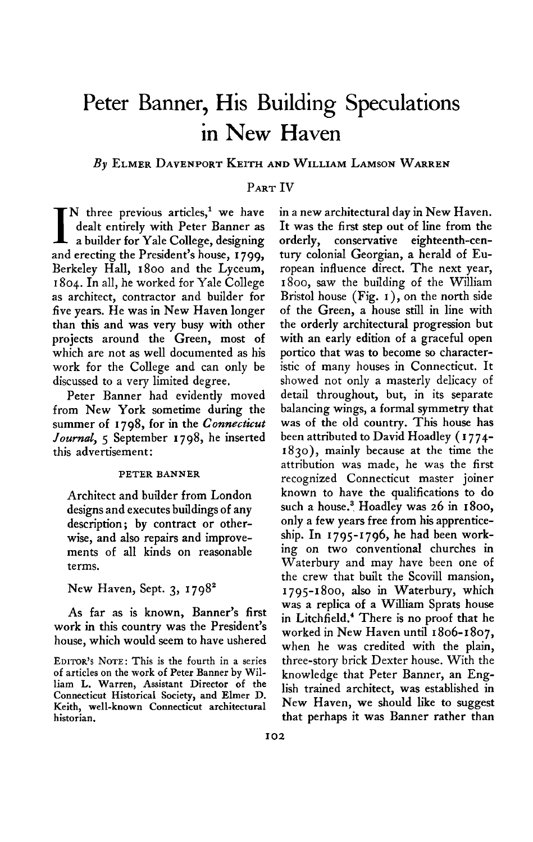# **Peter Banner, His Building Speculations in New Haven**

# **By ELMER DAVENPORT KEITH AND WILLIAM LAMSON WARREN**

# **PART IV**

**I N three previous articles,' we have a builder for Yale College, designing dealt entirely with Peter Banner as and erecting the President's house, I 799, Berkeley Hall, 1800 and the Lyceum, I 804. In all, he worked for Yale College as architect, contractor and builder for five years. He was in New Haven longer than this and was very busy with other projects around the Green, most of which are not as well documented as his work for the College and can only be discussed to a very limited degree.** 

**Peter Banner had evidently moved from New York sometime during the summer of 1798, for in the Connecticut Journal, 5 September 1798, he inserted this advertisement:** 

#### **PETER BANNER**

**Architect and builder from London designs and executes buildings of any description; by contract or otherwise, and also repairs and improvements of all kinds on reasonable terms.** 

# **New Haven, Sept. 3, 1798'**

**As far as is known, Banner's first work in this country was the President's house, which would seem to have ushered**  **in a new architectural day in New Haven. It was the first step out of line from the orderly, conservative eighteenth-century colonial Georgian, a herald of European influence direct. The next year, 1800, saw the building of the William Bristol house (Fig. I ), on the north side of the Green, a house still in line with the orderly architectural progression but with an early edition of a graceful open portico that was to become so characteristic of many houses in Connecticut. It showed not only a masterly delicacy of detail throughout, but, in its separate balancing wings, a formal symmetry that was of the old country. This house has been attributed to David Hoadley ( I 774- 1830), mainly because at the time the attribution was made, he was the first recognized Connecticut master joiner known to have the qualifications to do such a house.3 Hoadley was 26 in 1800, only a few years free from his apprenticeship. In 1795-1796, he had been working on two conventional churches in Waterbury and may have been one of the crew that built the Scovill mansion, 1795-1800, also in Waterbury, which was a replica of a William Sprats house in Litchfield.4 There is no proof that he worked in New Haven until I 806-1807, when he was credited with the plain, three-story brick Dexter house. With the knowledge that Peter Banner, an English trained architect, was established in New Haven, we should like to suggest that perhaps it was Banner rather than** 

**EDITORS ' NOTE: This is the fourth in a series of articles on the work of Peter Banner by William L. Warren, Assistant Director of the Connecticut Historical Society, and Elmer D. Keith, well-known Connecticut architectural historian.**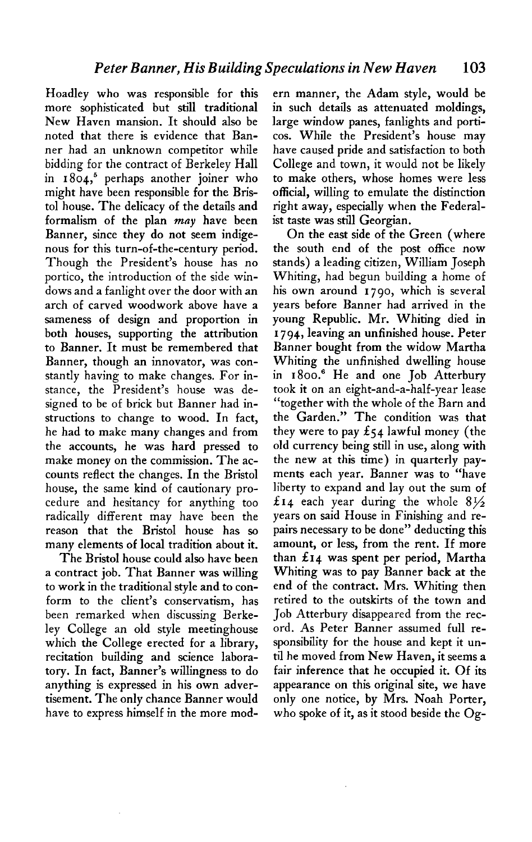**Hoadley who was responsible for this more sophisticated but still traditional New Haven mansion. It should also be noted that there is evidence that Banner had an unknown competitor while bidding for the contract of Berkeley Hall in 1804,~ perhaps another joiner who might have been responsible for the Bristol house. The delicacy of the details and**  formalism of the plan *may* have been **Banner, since they do not seem indigenous for this turn-of-the-century period. Though the President's house has no portico, the introduction of the side windows and a fanlight over the door with an arch of carved woodwork above have a sameness of design and proportion in both houses, supporting the attribution to Banner. It must be remembered that Banner, though an innovator, was constantly having to make changes. For instance, the President's house was designed to be of brick but Banner had instructions to change to wood. In fact, he had to make many changes and from the accounts, he was hard pressed to make money on the commission. The accounts reflect the changes. In the Bristol house, the same kind of cautionary procedure and hesitancy for anything too radically different may have been the reason that the Bristol house has so many elements of local tradition about it.** 

**The Bristol house could also have been a contract job. That Banner was willing to work in the traditional style and to conform to the client's conservatism, has been remarked when discussing Berkeley College an old style meetinghouse which the College erected for a library, recitation building and science laboratory. In fact, Banner's willingness to do anything is expressed in his own advertisement. The only chance Banner would have to express himself in the more mod-**

**ern manner, the Adam style, would be in such details as attenuated moldings, large window panes, fanlights and porticos. While the President's house may have caused pride and satisfaction to both College and town, it would not be likely to make others, whose homes were less official, willing to emulate the distinction right away, especially when the Federalist taste was still Georgian.** 

**On the east side of the Green (where the south end of the post office now stands) a leading citizen, William Joseph Whiting, had begun building a home of his own around 1790, which is several years before Banner had arrived in the young Republic. Mr. Whiting died in I 794, leaving an unfinished house. Peter Banner bought from the widow Martha Whiting the unfinished dwelling house in 1800.' He and one Job Atterbury took it on an eight-and-a-half-year lease "together with the whole of the Barn and the Garden." The condition was that**  they were to pay  $\pounds$ 54 lawful money (the **old currency being still in use, along with the new at this time) in quarterly payments each year. Banner was to "have liberty to expand and lay out the sum of f14 each year during the whole 8% years on said House in Finishing and repairs necessary to be done" deducting this amount, or less, from the rent. If more than f 14 was spent per period, Martha Whiting was to pay Banner back at the end of the contract. Mrs. Whiting then retired to the outskirts of the town and Job Atterbury disappeared from the record. As Peter Banner assumed full responsibility for the house and kept it until he moved from New Haven, it seems a fair inference that he occupied it. Of its appearance on this original site, we have only one notice, by Mrs. Noah Porter, who spoke of it, as it stood beside the Og-**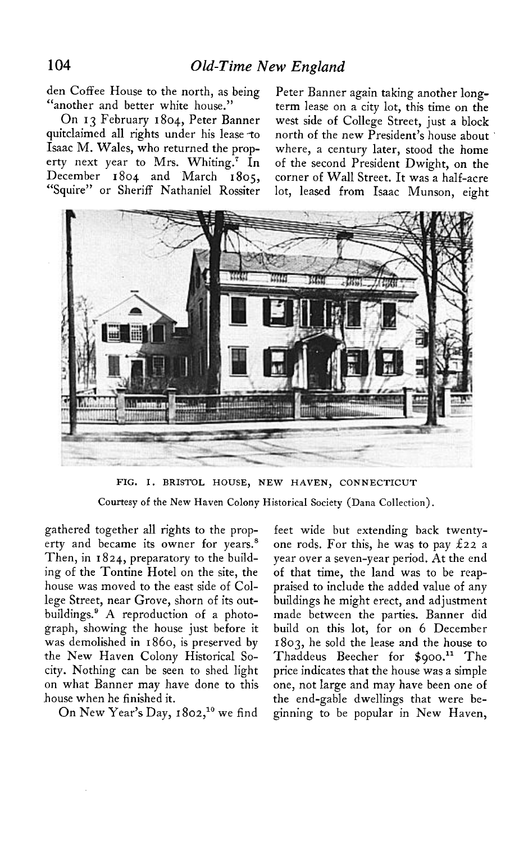**den Coffee House to the north, as being "another and better white house."** 

**On 13 February 1804, Peter Banner quitclaimed all rights under his lease -to Isaac M. Wales, who returned the property next year to Mrs. Whiting.? In December 1804 and March 1805, "Squire" or Sheriff Nathaniel Rossiter** 

**Peter Banner again taking another longterm lease on a city lot, this time on the west side of College Street, just a block north of the new President's house about where, a century later, stood the home of the second President Dwight, on the corner of Wall Street. It was a half-acre lot, leased from Isaac Munson, eight** 



**FIG. I. BRISTOL HOUSE, NEW HAVEN, CONNECTICUT** 

**Courtesy of the New Haven Colony Historical Society (Dana Collection).** 

**gathered together all rights to the property and became its owner for years.' Then, in I 824, preparatory to the building of the Tontine Hotel on the site, the house was moved to the east side of College Street, near Grove, shorn of its outbuildings.' A reproduction of a photograph, showing the house just before it was demolished in 1860, is preserved by the New Haven Colony Historical Socity. Nothing can be seen to shed light on what Banner may have done to this house when he finished it.** 

On New Year's Day, 1802,<sup>10</sup> we find

**feet wide but extending back twentyone rods. For this, he was to pay 222 a year over a seven-year period. At the end of that time, the land was to be reappraised to include the added value of any buildings he might erect, and adjustment made between the parties. Banner did build on this lot, for on 6 December 1803, he sold the lease and the house to**  Thaddeus Beecher for \$900.<sup>11</sup> The **price indicates that the house was a simple one, not large and may have been one of the end-gable dwellings that were beginning to be popular in New Haven,**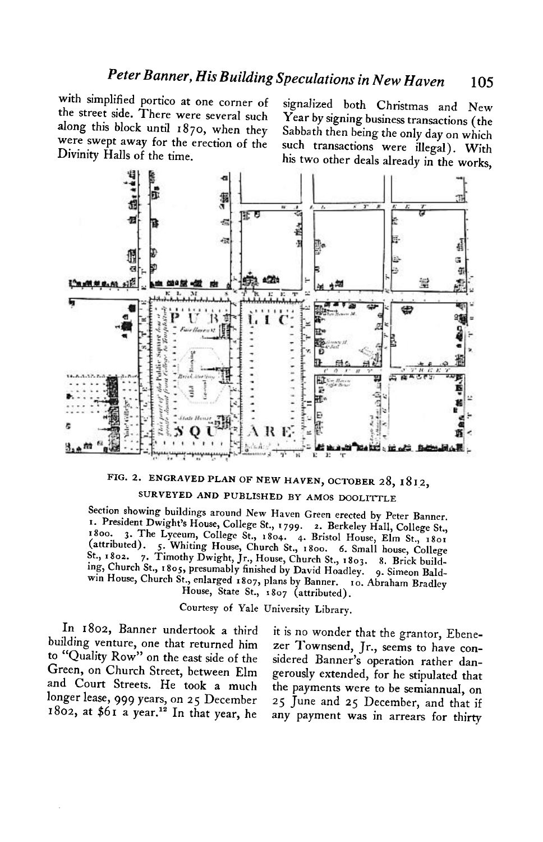**with simplified portico at one corner of signalized both Christmas and New the street side. There were several such Year by signing business transactions (the were swept away for the erection of the Divinity Halls of the time.** 

**along this block until 1870, when they Sabbath then being the only day on which such transactions were illegal). With his two other deals already in the works,** 



**FIG. 2. ENGRAVED PLAN OF NEW HAVEN, OCTOBER 28, 18 12,** 

# SURVEYED AND PUBLISHED BY AMOS DOOLITTLE

**Section showing buildings around New Haven Green erected by Peter Banner. I. President Dwight's House, College St., I 799. 2. Berkeley Hall, College St., 1800. 1800. 1800. 1800. 1800. 1800. 1800. 1800. 1800. 1800. 1800. 1800. 1800. 1800. 1800. 1800. 1800. 1800. 1800. 1800. 1800. 1800. 1800. 1800. 1800. 1800. 1800. 1800. 1800. 1800. 1800. 1800. 1800. 1800. 1800. 1800. 1800. (attributed). 5. Whiting House, Church St., 1800. 6. Small house, College St., 1802. 7. Timothy Dwight, Jr., House, Church St., I 803. 8. Brick building, Church St., I 805, presumably finished by David Hoadley. 9. Simeon Baldw** House, Church St., enlarged 1807, plans by Bannery **10. Abraham Bradley by Bradley I House, State St., I 807 (attributed).** 

**Courtesy of Yale University Library.** 

**In 1802, Banner undertook a third it is no wonder that the grantor, Ebene**building venture, one that returned him zer Townsend, Jr., seems to have con**to "Quality Row" on the east side of the sidered Banner's operation rather dan-Green, on Church Street, between Elm gerously extended, for he stipulated that and Court Streets. He took a much the payments were to be semiannual, on longer lease, 999 years, on 2 5 December 25 June and 25 December, and that if** 

**1802, at \$61 a year.l' In that year, he any payment was in arrears for thirty**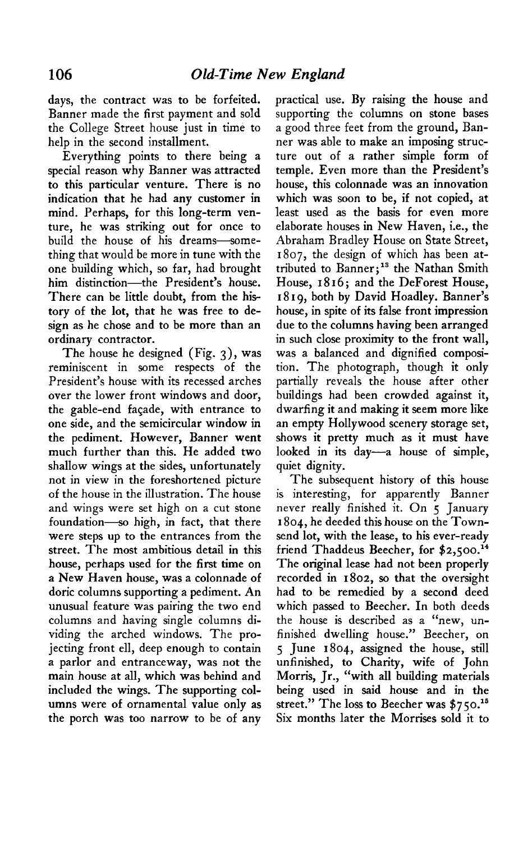**days, the contract was to be forfeited. Banner made the first payment and sold the College Street house just in time to help in the second installment.** 

**Everything points to there being a special reason why Banner was attracted to this particular venture. There is no indication that he had any customer in mind. Perhaps, for this long-term venture, he was striking out for once to build the house of his dreams-something that would be more in tune with the one building which, so far, had brought him distinction-the President's house. There can be little doubt, from the history of the lot, that he was free to design as he chose and to be more than an ordinary contractor.** 

**The house he designed (Fig. 3), was reminiscent in some respects of the President's house with its recessed arches over the lower front windows and door, the gable-end facade, with entrance to one side, and the semicircular window in the pediment. However, Banner went much further than this. He added two shallow wings at the sides, unfortunately not in view in the foreshortened picture of the house in the illustration. The house and wings were set high on a cut stone**  foundation-so high, in fact, that there **were steps up to the entrances from the street. The most ambitious detail in this house, perhaps used for the first time on a New Haven house, was a colonnade of doric columns supporting a pediment. An unusual feature was pairing the two end columns and having single columns dividing the arched windows. The projecting front ell, deep enough to contain a parlor and entranceway, was not the main house at all, which was behind and included the wings. The supporting columns were of ornamental value only as the porch was too narrow to be of any**  **practical use. By raising the house and supporting the columns on stone bases a good three feet from the ground, Banner was able to make an imposing structure out of a rather simple form of temple. Even more than the President's house, this colonnade was an innovation which was soon to be, if not copied, at least used as the basis for even more elaborate houses in New Haven, i.e., the Abraham Bradley House on State Street, 1807, the design of which has been at**tributed to Banner;<sup>13</sup> the Nathan Smith **House, 18 16 ; and the DeForest House, I 8 I 9, both by David Hoadley. Banner's house, in spite of its false front impression due to the columns having been arranged in such close proximity to the front wall, was a balanced and dignified composition. The photograph, though it only partially reveals the house after other buildings had been crowded against it, dwarfing it and making it seem more like an empty Hollywood scenery storage set, shows it pretty much as it must have looked in its day-a house of simple, quiet dignity.** 

**The subsequent history of this house is interesting, for apparently Banner never really finished it. On 5 January 1804, he deeded this house on the Townsend lot, with the lease, to his ever-ready friend Thaddeus Beecher, for \$2,500.~ ' The original lease had not been properly recorded in 1802, so that the oversight had to be remedied by a second deed which passed to Beecher. In both deeds the house is described as a "new, unfinished dwelling house." Beecher, on 5 June 1804, assigned the house, still unfinished, to Charity, wife of John Morris, Jr., "with all building materials being used in said house and in the**  street." The loss to Beecher was \$750.<sup>15</sup> **Six months later the Morrises sold it to**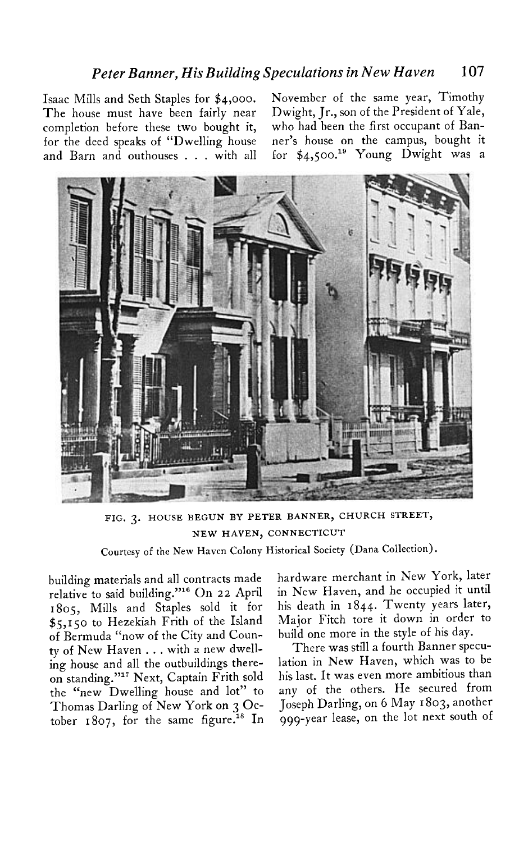# **Peter Banner, His Building Speculations in New Haven 107**

**Isaac Mills and Seth Staples for \$4,000. The house must have been fairly near**  completion before these two bought it, who had been the first occupant of Ban-

**November of the same year, Timothy Dwight, Jr., son of the President of Yale, for the deed speaks of "Dwelling house ner's house on the campus, bought it**  and Barn and outhouses . . . with all for \$4,500.<sup>19</sup> Young Dwight was a



**FIG. 3. HOUSE BEGUN BY PETER BANNER, CHURCH STREET, NEW HAVEN, CONNECTICUT** 

**Courtesy of the New Haven Colony Historical Society (Dana Collection),** 

**building materials and all contracts made relative to said building."16 On 22 April 1805, Mills and Staples sold it for \$5,150 to Hezekiah Frith of the Island of Bermuda "now of the City and County of New Haven . . . with a new dwelling house and all the outbuildings thereon standing."17 Next, Captain Frith sold the "new Dwelling house and lot" to Thomas Darling of New York on 3 October 1807, for the same figure." In**  **hardware merchant in New York, later in New Haven, and he occupied it until his death in 1844. Twenty years later, Major Fitch tore it down in order to build one more in the style of his day.** 

**There was still a fourth Banner speculation in New Haven, which was to be his last. It was even more ambitious than any of the others. He secured from Joseph Darling, on 6 May I 803, another 999-year lease, on the lot next south of**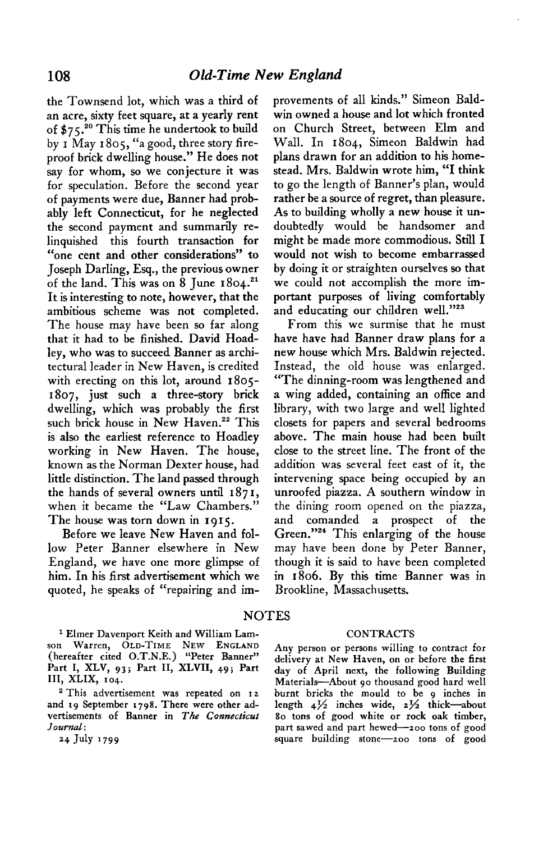**the Townsend lot, which was a third of an acre, sixty feet square, at a yearly rent of \$7 5 ."' This time he undertook to build by I May 1805, "a good, three story fireproof brick dwelling house." He does not say for whom, so we conjecture it was for speculation. Before the second year of payments were due, Banner had probably left Connecticut, for he neglected the second payment and summarily relinquished this fourth transaction for "one cent and other considerations" to Joseph Darling, Esq., the previous owner**  of the land. This was on 8 June  $1804.^{21}$ **It is interesting to note, however, that the ambitious scheme was not completed. The house may have been so far along that it had to be finished. David Hoadley, who was to succeed Banner as architectural leader in New Haven, is credited with erecting on this lot, around 1805- 1807, just such a three-story brick dwelling, which was probably the first**  such brick house in New Haven.<sup>22</sup> This **is also the earliest reference to Hoadley working in New Haven. The house, known as the Norman Dexter house, had little distinction. The land passed through the hands of several owners until 1871, when it became the "Law Chambers." The house was torn down in 1915.** 

**Before we leave New Haven and follow Peter Banner elsewhere in New England, we have one more glimpse of him. In his first advertisement which we quoted, he speaks of "repairing and im-**

**1 Elmer Davenport Keith and William Lam- CONTRACTS son Warren, OLD-TIME NEW ENGLAND (hereafter cited O.T.N.E.) "Peter Banner"**  Part I, XLV, 93; Part II, XLVII, 49; Part **III, XLIX, ro4.** 

and 19 September 1798. There were other advertisements of Banner in The Connecticut 80 tons of good white or rock oak timber, Journal: **part sawed and part hewed-zoo tons of good part** sawed and part hewed-zoo tons of good

**provements of all kinds." Simeon Baldwin owned a house and lot which fronted on Church Street, between Elm and Wall. In 1804, Simeon Baldwin had plans drawn for an addition to his homestead. Mrs. Baldwin wrote him, "I think to go the length of Banner's plan, would rather be a source of regret, than pleasure. As to building wholly a new house it undoubtedly would be handsomer and might be made more commodious. Still I would not wish to become embarrassed by doing it or straighten ourselves so that we could not accomplish the more important purposes of living comfortably and educating our children we11."23** 

**From this we surmise that he must have have had Banner draw plans for a new house which Mrs. Baldwin rejected. Instead, the old house was enlarged. "The dinning-room was lengthened and a wing added, containing an office and library, with two large and well lighted closets for papers and several bedrooms above. The main house had been built close to the street line. The front of the addition was several feet east of it, the intervening space being occupied by an unroofed piazza. A southern window in the dining room opened on the piazza, and comanded a prospect of the Green."24 This enlarging of the house may have been done by Peter Banner, though it is said to have been completed in 1806. By this time Banner was in Brookline, Massachusetts.** 

# **NOTES**

**Any person or persons willing to contract for delivery at New Haven, on or before the first day of April next, the following Building Materials-About 90 thousand good hard well**  <sup>2</sup> This advertisement was repeated on 12 burnt bricks the mould to be 9 inches in d 19 September 1798. There were other ad- length 4½ inches wide, 2½ thick—about **a4 July '799 square building stone--zoo tons of good**